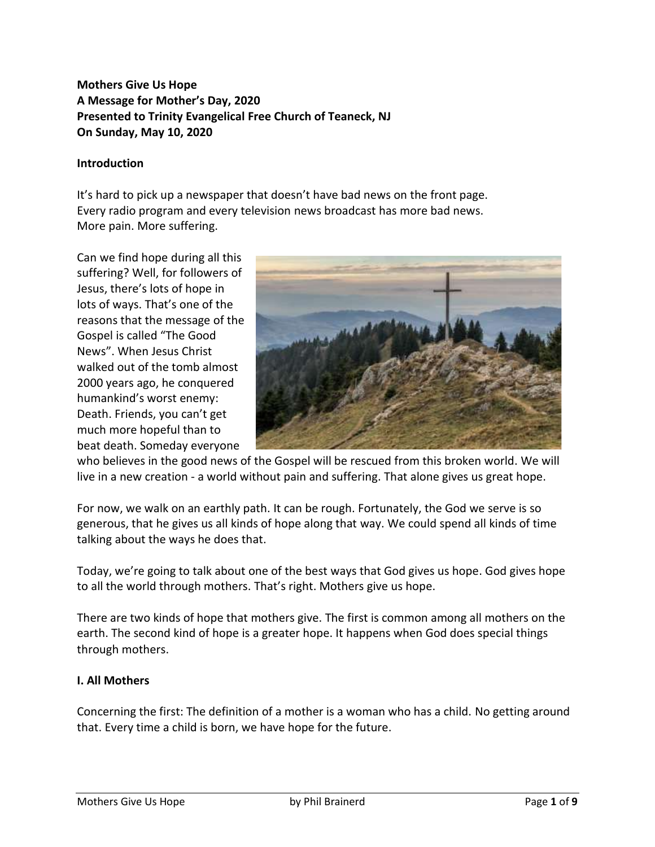# **Mothers Give Us Hope A Message for Mother's Day, 2020 Presented to Trinity Evangelical Free Church of Teaneck, NJ On Sunday, May 10, 2020**

#### **Introduction**

It's hard to pick up a newspaper that doesn't have bad news on the front page. Every radio program and every television news broadcast has more bad news. More pain. More suffering.

Can we find hope during all this suffering? Well, for followers of Jesus, there's lots of hope in lots of ways. That's one of the reasons that the message of the Gospel is called "The Good News". When Jesus Christ walked out of the tomb almost 2000 years ago, he conquered humankind's worst enemy: Death. Friends, you can't get much more hopeful than to beat death. Someday everyone



who believes in the good news of the Gospel will be rescued from this broken world. We will live in a new creation - a world without pain and suffering. That alone gives us great hope.

For now, we walk on an earthly path. It can be rough. Fortunately, the God we serve is so generous, that he gives us all kinds of hope along that way. We could spend all kinds of time talking about the ways he does that.

Today, we're going to talk about one of the best ways that God gives us hope. God gives hope to all the world through mothers. That's right. Mothers give us hope.

There are two kinds of hope that mothers give. The first is common among all mothers on the earth. The second kind of hope is a greater hope. It happens when God does special things through mothers.

#### **I. All Mothers**

Concerning the first: The definition of a mother is a woman who has a child. No getting around that. Every time a child is born, we have hope for the future.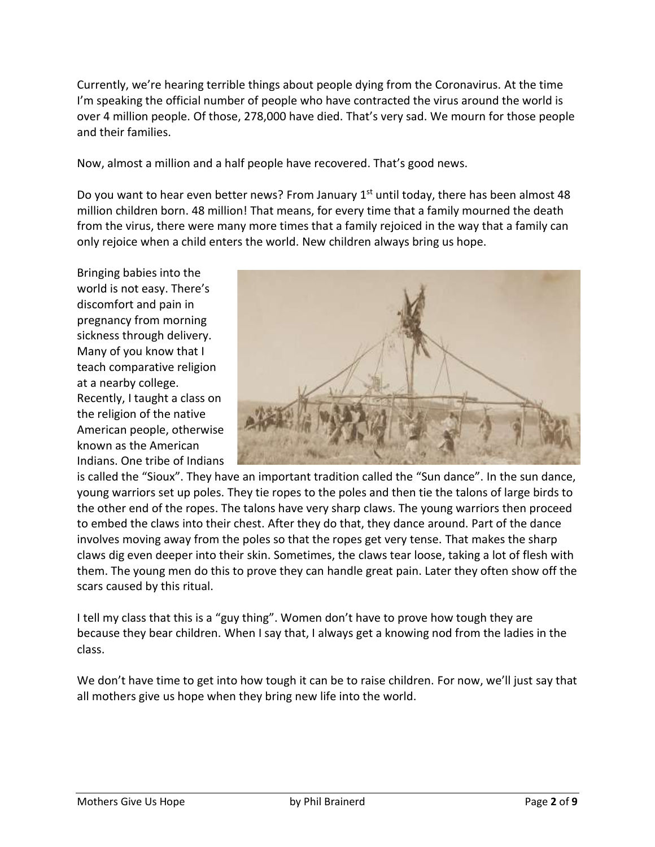Currently, we're hearing terrible things about people dying from the Coronavirus. At the time I'm speaking the official number of people who have contracted the virus around the world is over 4 million people. Of those, 278,000 have died. That's very sad. We mourn for those people and their families.

Now, almost a million and a half people have recovered. That's good news.

Do you want to hear even better news? From January  $1<sup>st</sup>$  until today, there has been almost 48 million children born. 48 million! That means, for every time that a family mourned the death from the virus, there were many more times that a family rejoiced in the way that a family can only rejoice when a child enters the world. New children always bring us hope.

Bringing babies into the world is not easy. There's discomfort and pain in pregnancy from morning sickness through delivery. Many of you know that I teach comparative religion at a nearby college. Recently, I taught a class on the religion of the native American people, otherwise known as the American Indians. One tribe of Indians



is called the "Sioux". They have an important tradition called the "Sun dance". In the sun dance, young warriors set up poles. They tie ropes to the poles and then tie the talons of large birds to the other end of the ropes. The talons have very sharp claws. The young warriors then proceed to embed the claws into their chest. After they do that, they dance around. Part of the dance involves moving away from the poles so that the ropes get very tense. That makes the sharp claws dig even deeper into their skin. Sometimes, the claws tear loose, taking a lot of flesh with them. The young men do this to prove they can handle great pain. Later they often show off the scars caused by this ritual.

I tell my class that this is a "guy thing". Women don't have to prove how tough they are because they bear children. When I say that, I always get a knowing nod from the ladies in the class.

We don't have time to get into how tough it can be to raise children. For now, we'll just say that all mothers give us hope when they bring new life into the world.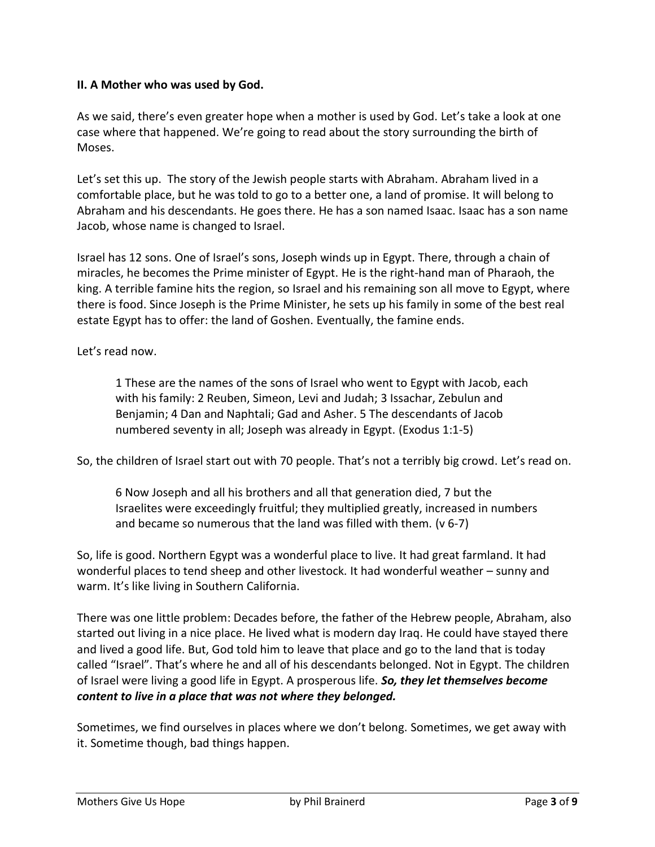### **II. A Mother who was used by God.**

As we said, there's even greater hope when a mother is used by God. Let's take a look at one case where that happened. We're going to read about the story surrounding the birth of Moses.

Let's set this up. The story of the Jewish people starts with Abraham. Abraham lived in a comfortable place, but he was told to go to a better one, a land of promise. It will belong to Abraham and his descendants. He goes there. He has a son named Isaac. Isaac has a son name Jacob, whose name is changed to Israel.

Israel has 12 sons. One of Israel's sons, Joseph winds up in Egypt. There, through a chain of miracles, he becomes the Prime minister of Egypt. He is the right-hand man of Pharaoh, the king. A terrible famine hits the region, so Israel and his remaining son all move to Egypt, where there is food. Since Joseph is the Prime Minister, he sets up his family in some of the best real estate Egypt has to offer: the land of Goshen. Eventually, the famine ends.

Let's read now.

1 These are the names of the sons of Israel who went to Egypt with Jacob, each with his family: 2 Reuben, Simeon, Levi and Judah; 3 Issachar, Zebulun and Benjamin; 4 Dan and Naphtali; Gad and Asher. 5 The descendants of Jacob numbered seventy in all; Joseph was already in Egypt. (Exodus 1:1-5)

So, the children of Israel start out with 70 people. That's not a terribly big crowd. Let's read on.

6 Now Joseph and all his brothers and all that generation died, 7 but the Israelites were exceedingly fruitful; they multiplied greatly, increased in numbers and became so numerous that the land was filled with them. (v 6-7)

So, life is good. Northern Egypt was a wonderful place to live. It had great farmland. It had wonderful places to tend sheep and other livestock. It had wonderful weather – sunny and warm. It's like living in Southern California.

There was one little problem: Decades before, the father of the Hebrew people, Abraham, also started out living in a nice place. He lived what is modern day Iraq. He could have stayed there and lived a good life. But, God told him to leave that place and go to the land that is today called "Israel". That's where he and all of his descendants belonged. Not in Egypt. The children of Israel were living a good life in Egypt. A prosperous life. *So, they let themselves become content to live in a place that was not where they belonged.*

Sometimes, we find ourselves in places where we don't belong. Sometimes, we get away with it. Sometime though, bad things happen.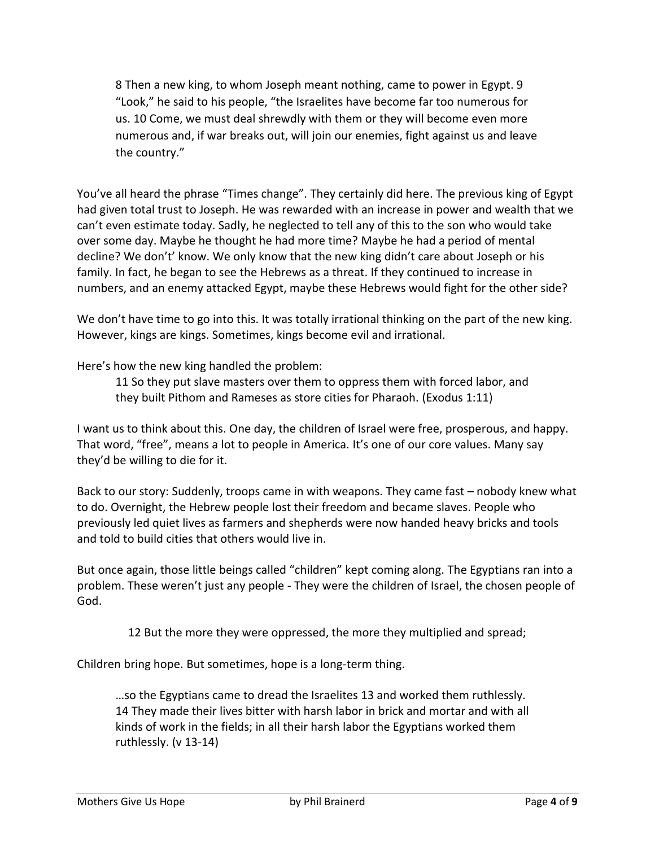8 Then a new king, to whom Joseph meant nothing, came to power in Egypt. 9 "Look," he said to his people, "the Israelites have become far too numerous for us. 10 Come, we must deal shrewdly with them or they will become even more numerous and, if war breaks out, will join our enemies, fight against us and leave the country."

You've all heard the phrase "Times change". They certainly did here. The previous king of Egypt had given total trust to Joseph. He was rewarded with an increase in power and wealth that we can't even estimate today. Sadly, he neglected to tell any of this to the son who would take over some day. Maybe he thought he had more time? Maybe he had a period of mental decline? We don't' know. We only know that the new king didn't care about Joseph or his family. In fact, he began to see the Hebrews as a threat. If they continued to increase in numbers, and an enemy attacked Egypt, maybe these Hebrews would fight for the other side?

We don't have time to go into this. It was totally irrational thinking on the part of the new king. However, kings are kings. Sometimes, kings become evil and irrational.

Here's how the new king handled the problem:

11 So they put slave masters over them to oppress them with forced labor, and they built Pithom and Rameses as store cities for Pharaoh. (Exodus 1:11)

I want us to think about this. One day, the children of Israel were free, prosperous, and happy. That word, "free", means a lot to people in America. It's one of our core values. Many say they'd be willing to die for it.

Back to our story: Suddenly, troops came in with weapons. They came fast – nobody knew what to do. Overnight, the Hebrew people lost their freedom and became slaves. People who previously led quiet lives as farmers and shepherds were now handed heavy bricks and tools and told to build cities that others would live in.

But once again, those little beings called "children" kept coming along. The Egyptians ran into a problem. These weren't just any people - They were the children of Israel, the chosen people of God.

12 But the more they were oppressed, the more they multiplied and spread;

Children bring hope. But sometimes, hope is a long-term thing.

…so the Egyptians came to dread the Israelites 13 and worked them ruthlessly. 14 They made their lives bitter with harsh labor in brick and mortar and with all kinds of work in the fields; in all their harsh labor the Egyptians worked them ruthlessly. (v 13-14)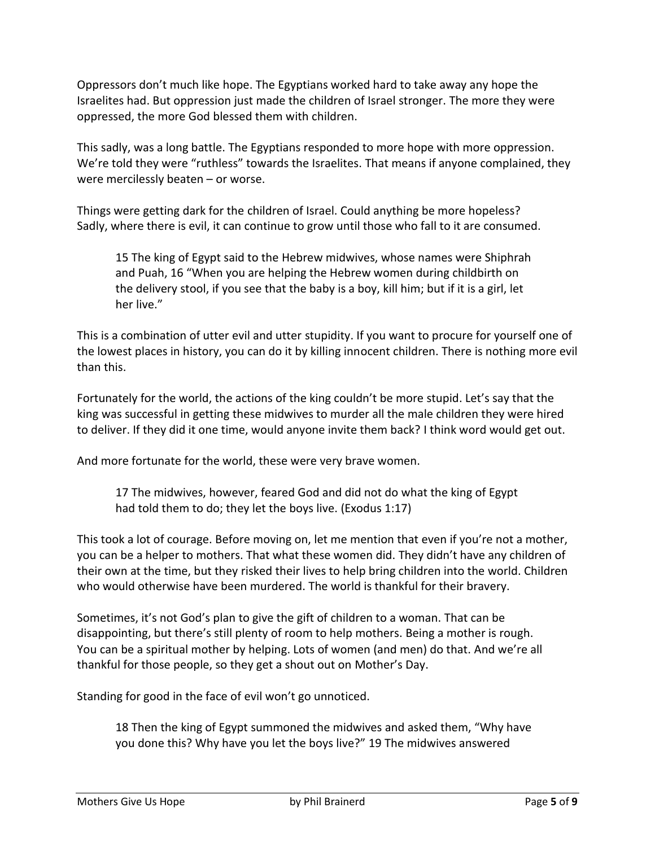Oppressors don't much like hope. The Egyptians worked hard to take away any hope the Israelites had. But oppression just made the children of Israel stronger. The more they were oppressed, the more God blessed them with children.

This sadly, was a long battle. The Egyptians responded to more hope with more oppression. We're told they were "ruthless" towards the Israelites. That means if anyone complained, they were mercilessly beaten – or worse.

Things were getting dark for the children of Israel. Could anything be more hopeless? Sadly, where there is evil, it can continue to grow until those who fall to it are consumed.

15 The king of Egypt said to the Hebrew midwives, whose names were Shiphrah and Puah, 16 "When you are helping the Hebrew women during childbirth on the delivery stool, if you see that the baby is a boy, kill him; but if it is a girl, let her live."

This is a combination of utter evil and utter stupidity. If you want to procure for yourself one of the lowest places in history, you can do it by killing innocent children. There is nothing more evil than this.

Fortunately for the world, the actions of the king couldn't be more stupid. Let's say that the king was successful in getting these midwives to murder all the male children they were hired to deliver. If they did it one time, would anyone invite them back? I think word would get out.

And more fortunate for the world, these were very brave women.

17 The midwives, however, feared God and did not do what the king of Egypt had told them to do; they let the boys live. (Exodus 1:17)

This took a lot of courage. Before moving on, let me mention that even if you're not a mother, you can be a helper to mothers. That what these women did. They didn't have any children of their own at the time, but they risked their lives to help bring children into the world. Children who would otherwise have been murdered. The world is thankful for their bravery.

Sometimes, it's not God's plan to give the gift of children to a woman. That can be disappointing, but there's still plenty of room to help mothers. Being a mother is rough. You can be a spiritual mother by helping. Lots of women (and men) do that. And we're all thankful for those people, so they get a shout out on Mother's Day.

Standing for good in the face of evil won't go unnoticed.

18 Then the king of Egypt summoned the midwives and asked them, "Why have you done this? Why have you let the boys live?" 19 The midwives answered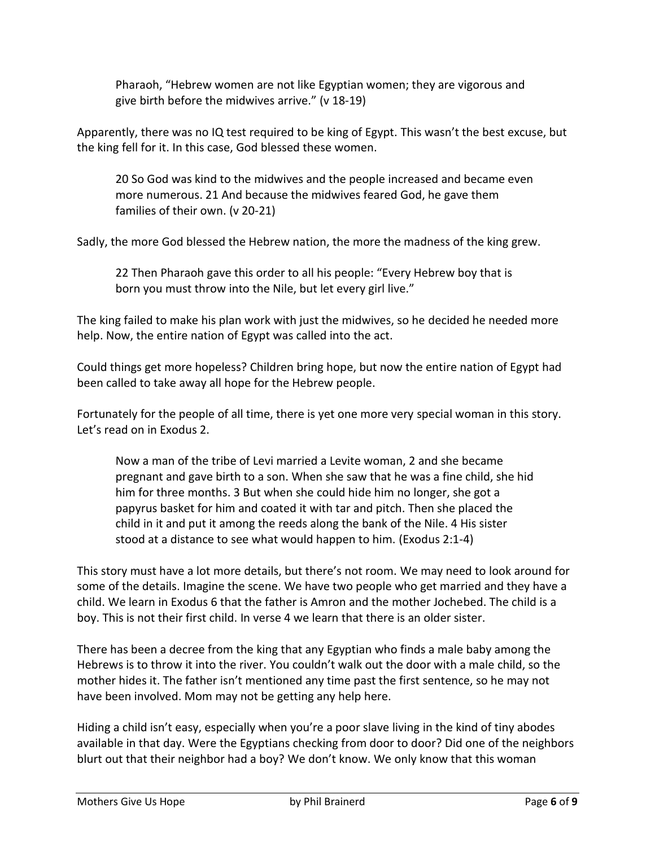Pharaoh, "Hebrew women are not like Egyptian women; they are vigorous and give birth before the midwives arrive." (v 18-19)

Apparently, there was no IQ test required to be king of Egypt. This wasn't the best excuse, but the king fell for it. In this case, God blessed these women.

20 So God was kind to the midwives and the people increased and became even more numerous. 21 And because the midwives feared God, he gave them families of their own. (v 20-21)

Sadly, the more God blessed the Hebrew nation, the more the madness of the king grew.

22 Then Pharaoh gave this order to all his people: "Every Hebrew boy that is born you must throw into the Nile, but let every girl live."

The king failed to make his plan work with just the midwives, so he decided he needed more help. Now, the entire nation of Egypt was called into the act.

Could things get more hopeless? Children bring hope, but now the entire nation of Egypt had been called to take away all hope for the Hebrew people.

Fortunately for the people of all time, there is yet one more very special woman in this story. Let's read on in Exodus 2.

Now a man of the tribe of Levi married a Levite woman, 2 and she became pregnant and gave birth to a son. When she saw that he was a fine child, she hid him for three months. 3 But when she could hide him no longer, she got a papyrus basket for him and coated it with tar and pitch. Then she placed the child in it and put it among the reeds along the bank of the Nile. 4 His sister stood at a distance to see what would happen to him. (Exodus 2:1-4)

This story must have a lot more details, but there's not room. We may need to look around for some of the details. Imagine the scene. We have two people who get married and they have a child. We learn in Exodus 6 that the father is Amron and the mother Jochebed. The child is a boy. This is not their first child. In verse 4 we learn that there is an older sister.

There has been a decree from the king that any Egyptian who finds a male baby among the Hebrews is to throw it into the river. You couldn't walk out the door with a male child, so the mother hides it. The father isn't mentioned any time past the first sentence, so he may not have been involved. Mom may not be getting any help here.

Hiding a child isn't easy, especially when you're a poor slave living in the kind of tiny abodes available in that day. Were the Egyptians checking from door to door? Did one of the neighbors blurt out that their neighbor had a boy? We don't know. We only know that this woman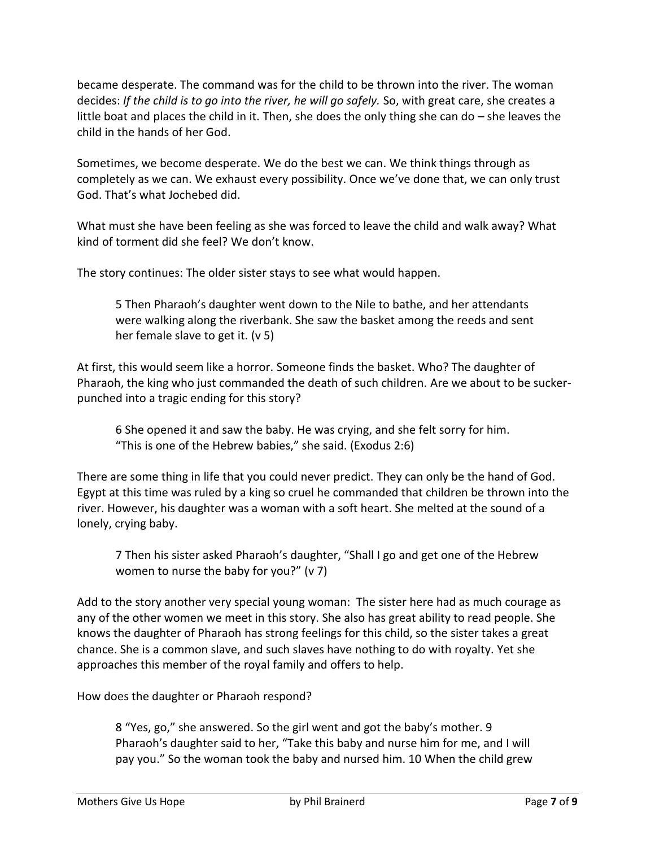became desperate. The command was for the child to be thrown into the river. The woman decides: *If the child is to go into the river, he will go safely.* So, with great care, she creates a little boat and places the child in it. Then, she does the only thing she can do – she leaves the child in the hands of her God.

Sometimes, we become desperate. We do the best we can. We think things through as completely as we can. We exhaust every possibility. Once we've done that, we can only trust God. That's what Jochebed did.

What must she have been feeling as she was forced to leave the child and walk away? What kind of torment did she feel? We don't know.

The story continues: The older sister stays to see what would happen.

5 Then Pharaoh's daughter went down to the Nile to bathe, and her attendants were walking along the riverbank. She saw the basket among the reeds and sent her female slave to get it. (v 5)

At first, this would seem like a horror. Someone finds the basket. Who? The daughter of Pharaoh, the king who just commanded the death of such children. Are we about to be suckerpunched into a tragic ending for this story?

6 She opened it and saw the baby. He was crying, and she felt sorry for him. "This is one of the Hebrew babies," she said. (Exodus 2:6)

There are some thing in life that you could never predict. They can only be the hand of God. Egypt at this time was ruled by a king so cruel he commanded that children be thrown into the river. However, his daughter was a woman with a soft heart. She melted at the sound of a lonely, crying baby.

7 Then his sister asked Pharaoh's daughter, "Shall I go and get one of the Hebrew women to nurse the baby for you?" (v 7)

Add to the story another very special young woman: The sister here had as much courage as any of the other women we meet in this story. She also has great ability to read people. She knows the daughter of Pharaoh has strong feelings for this child, so the sister takes a great chance. She is a common slave, and such slaves have nothing to do with royalty. Yet she approaches this member of the royal family and offers to help.

How does the daughter or Pharaoh respond?

8 "Yes, go," she answered. So the girl went and got the baby's mother. 9 Pharaoh's daughter said to her, "Take this baby and nurse him for me, and I will pay you." So the woman took the baby and nursed him. 10 When the child grew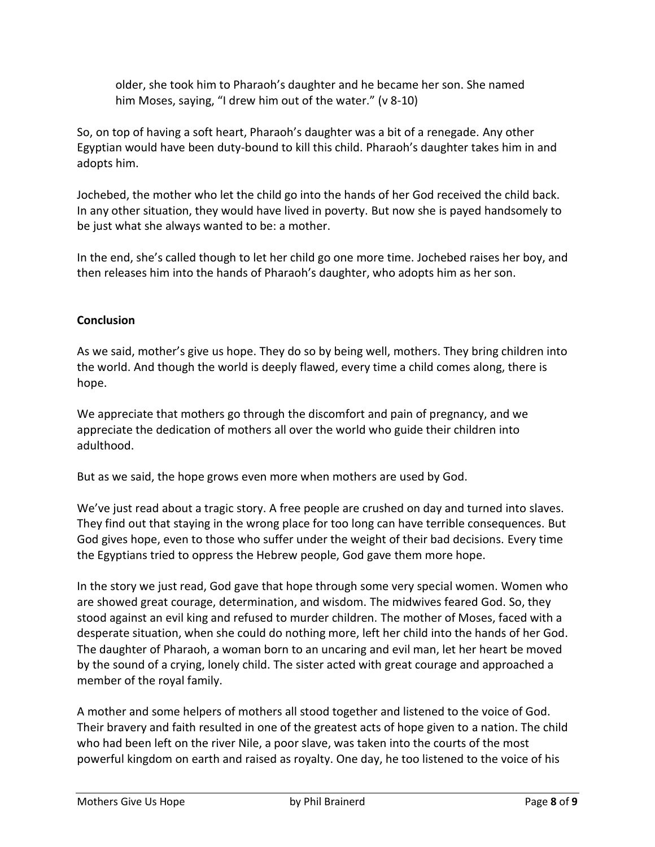older, she took him to Pharaoh's daughter and he became her son. She named him Moses, saying, "I drew him out of the water." (v 8-10)

So, on top of having a soft heart, Pharaoh's daughter was a bit of a renegade. Any other Egyptian would have been duty-bound to kill this child. Pharaoh's daughter takes him in and adopts him.

Jochebed, the mother who let the child go into the hands of her God received the child back. In any other situation, they would have lived in poverty. But now she is payed handsomely to be just what she always wanted to be: a mother.

In the end, she's called though to let her child go one more time. Jochebed raises her boy, and then releases him into the hands of Pharaoh's daughter, who adopts him as her son.

## **Conclusion**

As we said, mother's give us hope. They do so by being well, mothers. They bring children into the world. And though the world is deeply flawed, every time a child comes along, there is hope.

We appreciate that mothers go through the discomfort and pain of pregnancy, and we appreciate the dedication of mothers all over the world who guide their children into adulthood.

But as we said, the hope grows even more when mothers are used by God.

We've just read about a tragic story. A free people are crushed on day and turned into slaves. They find out that staying in the wrong place for too long can have terrible consequences. But God gives hope, even to those who suffer under the weight of their bad decisions. Every time the Egyptians tried to oppress the Hebrew people, God gave them more hope.

In the story we just read, God gave that hope through some very special women. Women who are showed great courage, determination, and wisdom. The midwives feared God. So, they stood against an evil king and refused to murder children. The mother of Moses, faced with a desperate situation, when she could do nothing more, left her child into the hands of her God. The daughter of Pharaoh, a woman born to an uncaring and evil man, let her heart be moved by the sound of a crying, lonely child. The sister acted with great courage and approached a member of the royal family.

A mother and some helpers of mothers all stood together and listened to the voice of God. Their bravery and faith resulted in one of the greatest acts of hope given to a nation. The child who had been left on the river Nile, a poor slave, was taken into the courts of the most powerful kingdom on earth and raised as royalty. One day, he too listened to the voice of his